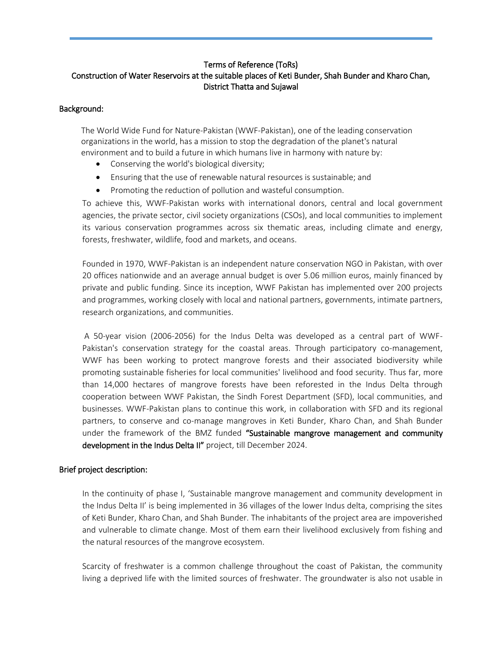## Terms of Reference (ToRs) Construction of Water Reservoirs at the suitable places of Keti Bunder, Shah Bunder and Kharo Chan, District Thatta and Sujawal

### Background:

The World Wide Fund for Nature-Pakistan (WWF-Pakistan), one of the leading conservation organizations in the world, has a mission to stop the degradation of the planet's natural environment and to build a future in which humans live in harmony with nature by:

- Conserving the world's biological diversity;
- Ensuring that the use of renewable natural resources is sustainable; and
- Promoting the reduction of pollution and wasteful consumption.

To achieve this, WWF-Pakistan works with international donors, central and local government agencies, the private sector, civil society organizations (CSOs), and local communities to implement its various conservation programmes across six thematic areas, including climate and energy, forests, freshwater, wildlife, food and markets, and oceans.

Founded in 1970, WWF-Pakistan is an independent nature conservation NGO in Pakistan, with over 20 offices nationwide and an average annual budget is over 5.06 million euros, mainly financed by private and public funding. Since its inception, WWF Pakistan has implemented over 200 projects and programmes, working closely with local and national partners, governments, intimate partners, research organizations, and communities.

A 50-year vision (2006-2056) for the Indus Delta was developed as a central part of WWF-Pakistan's conservation strategy for the coastal areas. Through participatory co-management, WWF has been working to protect mangrove forests and their associated biodiversity while promoting sustainable fisheries for local communities' livelihood and food security. Thus far, more than 14,000 hectares of mangrove forests have been reforested in the Indus Delta through cooperation between WWF Pakistan, the Sindh Forest Department (SFD), local communities, and businesses. WWF-Pakistan plans to continue this work, in collaboration with SFD and its regional partners, to conserve and co-manage mangroves in Keti Bunder, Kharo Chan, and Shah Bunder under the framework of the BMZ funded "Sustainable mangrove management and community development in the Indus Delta II" project, till December 2024.

# Brief project description:

In the continuity of phase I, 'Sustainable mangrove management and community development in the Indus Delta II' is being implemented in 36 villages of the lower Indus delta, comprising the sites of Keti Bunder, Kharo Chan, and Shah Bunder. The inhabitants of the project area are impoverished and vulnerable to climate change. Most of them earn their livelihood exclusively from fishing and the natural resources of the mangrove ecosystem.

Scarcity of freshwater is a common challenge throughout the coast of Pakistan, the community living a deprived life with the limited sources of freshwater. The groundwater is also not usable in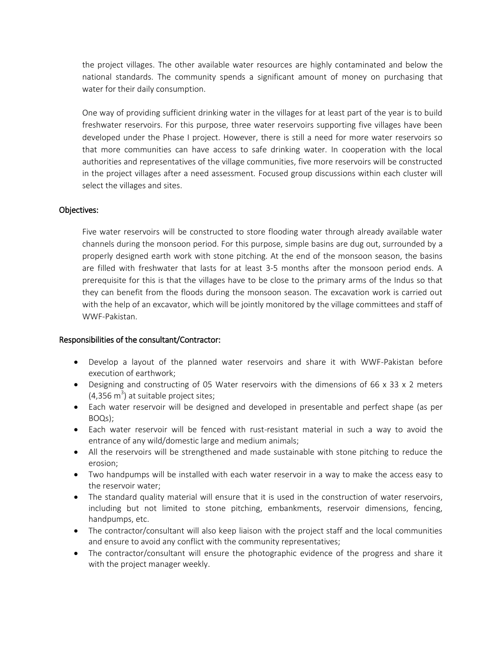the project villages. The other available water resources are highly contaminated and below the national standards. The community spends a significant amount of money on purchasing that water for their daily consumption.

One way of providing sufficient drinking water in the villages for at least part of the year is to build freshwater reservoirs. For this purpose, three water reservoirs supporting five villages have been developed under the Phase I project. However, there is still a need for more water reservoirs so that more communities can have access to safe drinking water. In cooperation with the local authorities and representatives of the village communities, five more reservoirs will be constructed in the project villages after a need assessment. Focused group discussions within each cluster will select the villages and sites.

### Objectives:

Five water reservoirs will be constructed to store flooding water through already available water channels during the monsoon period. For this purpose, simple basins are dug out, surrounded by a properly designed earth work with stone pitching. At the end of the monsoon season, the basins are filled with freshwater that lasts for at least 3-5 months after the monsoon period ends. A prerequisite for this is that the villages have to be close to the primary arms of the Indus so that they can benefit from the floods during the monsoon season. The excavation work is carried out with the help of an excavator, which will be jointly monitored by the village committees and staff of WWF-Pakistan.

#### Responsibilities of the consultant/Contractor:

- Develop a layout of the planned water reservoirs and share it with WWF-Pakistan before execution of earthwork;
- Designing and constructing of 05 Water reservoirs with the dimensions of 66 x 33 x 2 meters  $(4,356 \text{ m}^3)$  at suitable project sites;
- Each water reservoir will be designed and developed in presentable and perfect shape (as per BOQs);
- Each water reservoir will be fenced with rust-resistant material in such a way to avoid the entrance of any wild/domestic large and medium animals;
- All the reservoirs will be strengthened and made sustainable with stone pitching to reduce the erosion;
- Two handpumps will be installed with each water reservoir in a way to make the access easy to the reservoir water;
- The standard quality material will ensure that it is used in the construction of water reservoirs, including but not limited to stone pitching, embankments, reservoir dimensions, fencing, handpumps, etc.
- The contractor/consultant will also keep liaison with the project staff and the local communities and ensure to avoid any conflict with the community representatives;
- The contractor/consultant will ensure the photographic evidence of the progress and share it with the project manager weekly.